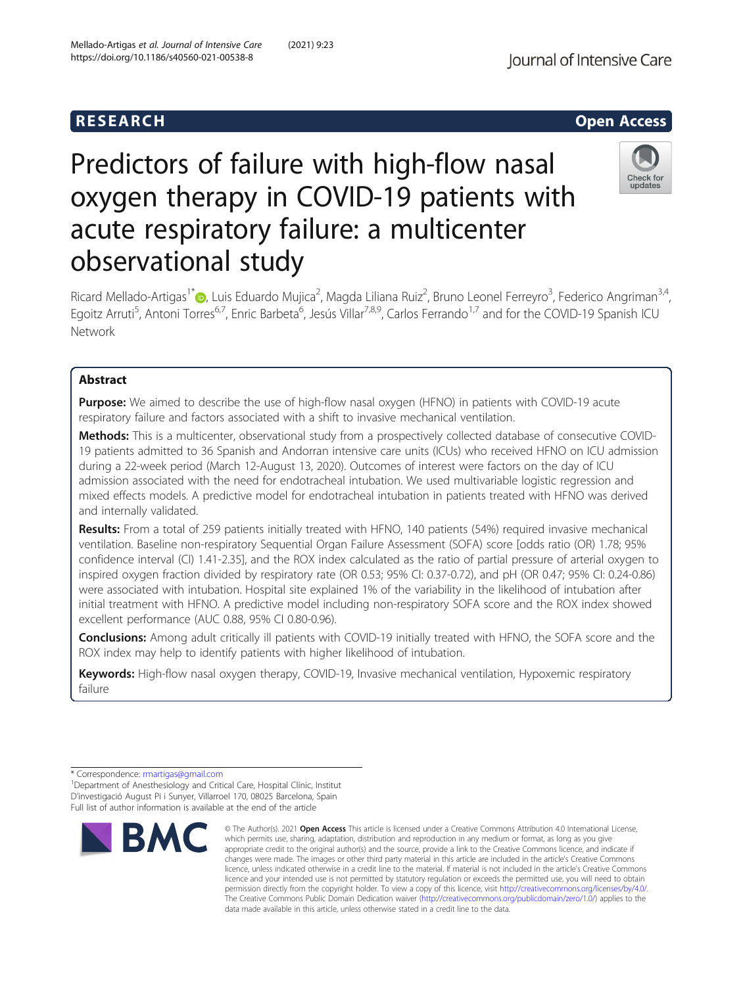# **RESEARCH CHILD CONTROL** CONTROL CONTROL CONTROL CONTROL CONTROL CONTROL CONTROL CONTROL CONTROL CONTROL CONTROL CONTROL CONTROL CONTROL CONTROL CONTROL CONTROL CONTROL CONTROL CONTROL CONTROL CONTROL CONTROL CONTROL CONTR

# Predictors of failure with high-flow nasal oxygen therapy in COVID-19 patients with acute respiratory failure: a multicenter observational study



Ricard Mellado-Artigas<sup>1[\\*](http://orcid.org/0000-0003-2815-6819)</sup>®, Luis Eduardo Mujica<sup>2</sup>, Magda Liliana Ruiz<sup>2</sup>, Bruno Leonel Ferreyro<sup>3</sup>, Federico Angriman<sup>3,4</sup>, Egoitz Arruti<sup>5</sup>, Antoni Torres<sup>6,7</sup>, Enric Barbeta<sup>6</sup>, Jesús Villar<sup>7,8,9</sup>, Carlos Ferrando<sup>1,7</sup> and for the COVID-19 Spanish ICU Network

# Abstract

Purpose: We aimed to describe the use of high-flow nasal oxygen (HFNO) in patients with COVID-19 acute respiratory failure and factors associated with a shift to invasive mechanical ventilation.

Methods: This is a multicenter, observational study from a prospectively collected database of consecutive COVID-19 patients admitted to 36 Spanish and Andorran intensive care units (ICUs) who received HFNO on ICU admission during a 22-week period (March 12-August 13, 2020). Outcomes of interest were factors on the day of ICU admission associated with the need for endotracheal intubation. We used multivariable logistic regression and mixed effects models. A predictive model for endotracheal intubation in patients treated with HFNO was derived and internally validated.

Results: From a total of 259 patients initially treated with HFNO, 140 patients (54%) required invasive mechanical ventilation. Baseline non-respiratory Sequential Organ Failure Assessment (SOFA) score [odds ratio (OR) 1.78; 95% confidence interval (CI) 1.41-2.35], and the ROX index calculated as the ratio of partial pressure of arterial oxygen to inspired oxygen fraction divided by respiratory rate (OR 0.53; 95% CI: 0.37-0.72), and pH (OR 0.47; 95% CI: 0.24-0.86) were associated with intubation. Hospital site explained 1% of the variability in the likelihood of intubation after initial treatment with HFNO. A predictive model including non-respiratory SOFA score and the ROX index showed excellent performance (AUC 0.88, 95% CI 0.80-0.96).

Conclusions: Among adult critically ill patients with COVID-19 initially treated with HFNO, the SOFA score and the ROX index may help to identify patients with higher likelihood of intubation.

Keywords: High-flow nasal oxygen therapy, COVID-19, Invasive mechanical ventilation, Hypoxemic respiratory failure

<sup>&</sup>lt;sup>1</sup> Department of Anesthesiology and Critical Care, Hospital Clínic, Institut D'investigació August Pi i Sunyer, Villarroel 170, 08025 Barcelona, Spain Full list of author information is available at the end of the article



<sup>©</sup> The Author(s), 2021 **Open Access** This article is licensed under a Creative Commons Attribution 4.0 International License, which permits use, sharing, adaptation, distribution and reproduction in any medium or format, as long as you give appropriate credit to the original author(s) and the source, provide a link to the Creative Commons licence, and indicate if changes were made. The images or other third party material in this article are included in the article's Creative Commons licence, unless indicated otherwise in a credit line to the material. If material is not included in the article's Creative Commons licence and your intended use is not permitted by statutory regulation or exceeds the permitted use, you will need to obtain permission directly from the copyright holder. To view a copy of this licence, visit [http://creativecommons.org/licenses/by/4.0/.](http://creativecommons.org/licenses/by/4.0/) The Creative Commons Public Domain Dedication waiver [\(http://creativecommons.org/publicdomain/zero/1.0/](http://creativecommons.org/publicdomain/zero/1.0/)) applies to the data made available in this article, unless otherwise stated in a credit line to the data.

<sup>\*</sup> Correspondence: [rmartigas@gmail.com](mailto:rmartigas@gmail.com) <sup>1</sup>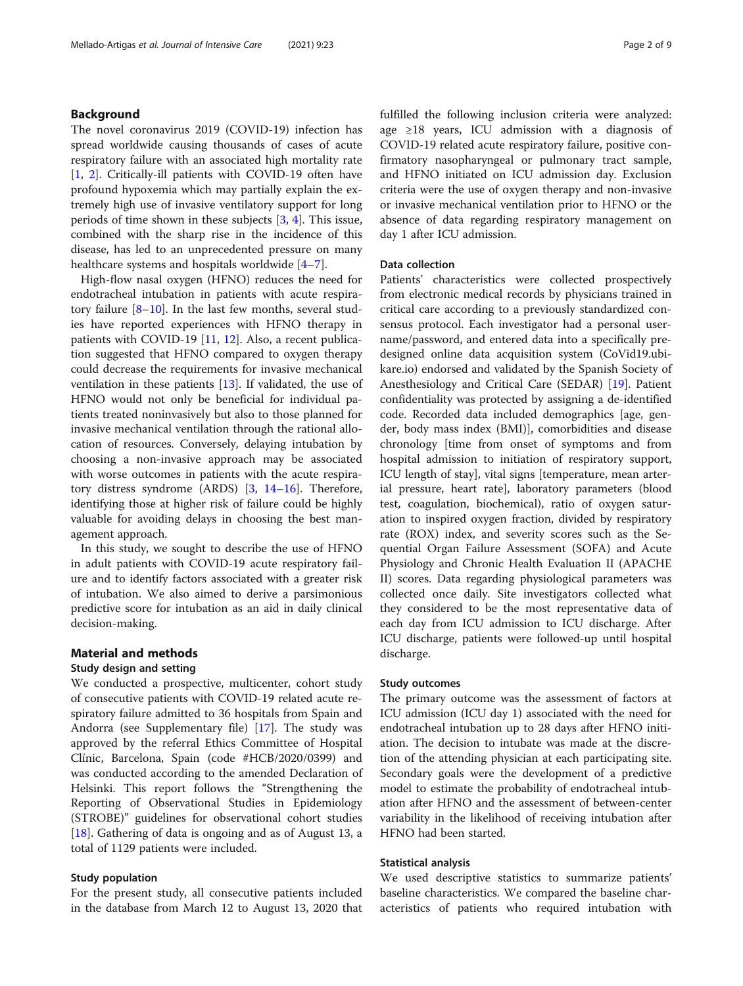# Background

The novel coronavirus 2019 (COVID-19) infection has spread worldwide causing thousands of cases of acute respiratory failure with an associated high mortality rate [[1,](#page-7-0) [2](#page-7-0)]. Critically-ill patients with COVID-19 often have profound hypoxemia which may partially explain the extremely high use of invasive ventilatory support for long periods of time shown in these subjects [\[3](#page-7-0), [4](#page-7-0)]. This issue, combined with the sharp rise in the incidence of this disease, has led to an unprecedented pressure on many healthcare systems and hospitals worldwide [\[4](#page-7-0)–[7](#page-7-0)].

High-flow nasal oxygen (HFNO) reduces the need for endotracheal intubation in patients with acute respiratory failure  $[8-10]$  $[8-10]$  $[8-10]$  $[8-10]$ . In the last few months, several studies have reported experiences with HFNO therapy in patients with COVID-19 [\[11,](#page-7-0) [12](#page-8-0)]. Also, a recent publication suggested that HFNO compared to oxygen therapy could decrease the requirements for invasive mechanical ventilation in these patients [[13](#page-8-0)]. If validated, the use of HFNO would not only be beneficial for individual patients treated noninvasively but also to those planned for invasive mechanical ventilation through the rational allocation of resources. Conversely, delaying intubation by choosing a non-invasive approach may be associated with worse outcomes in patients with the acute respiratory distress syndrome (ARDS) [[3](#page-7-0), [14](#page-8-0)–[16](#page-8-0)]. Therefore, identifying those at higher risk of failure could be highly valuable for avoiding delays in choosing the best management approach.

In this study, we sought to describe the use of HFNO in adult patients with COVID-19 acute respiratory failure and to identify factors associated with a greater risk of intubation. We also aimed to derive a parsimonious predictive score for intubation as an aid in daily clinical decision-making.

# Material and methods

# Study design and setting

We conducted a prospective, multicenter, cohort study of consecutive patients with COVID-19 related acute respiratory failure admitted to 36 hospitals from Spain and Andorra (see Supplementary file) [\[17\]](#page-8-0). The study was approved by the referral Ethics Committee of Hospital Clínic, Barcelona, Spain (code #HCB/2020/0399) and was conducted according to the amended Declaration of Helsinki. This report follows the "Strengthening the Reporting of Observational Studies in Epidemiology (STROBE)" guidelines for observational cohort studies [[18\]](#page-8-0). Gathering of data is ongoing and as of August 13, a total of 1129 patients were included.

# Study population

For the present study, all consecutive patients included in the database from March 12 to August 13, 2020 that fulfilled the following inclusion criteria were analyzed: age ≥18 years, ICU admission with a diagnosis of COVID-19 related acute respiratory failure, positive confirmatory nasopharyngeal or pulmonary tract sample, and HFNO initiated on ICU admission day. Exclusion criteria were the use of oxygen therapy and non-invasive or invasive mechanical ventilation prior to HFNO or the absence of data regarding respiratory management on day 1 after ICU admission.

# Data collection

Patients' characteristics were collected prospectively from electronic medical records by physicians trained in critical care according to a previously standardized consensus protocol. Each investigator had a personal username/password, and entered data into a specifically predesigned online data acquisition system (CoVid19.ubikare.io) endorsed and validated by the Spanish Society of Anesthesiology and Critical Care (SEDAR) [[19\]](#page-8-0). Patient confidentiality was protected by assigning a de-identified code. Recorded data included demographics [age, gender, body mass index (BMI)], comorbidities and disease chronology [time from onset of symptoms and from hospital admission to initiation of respiratory support, ICU length of stay], vital signs [temperature, mean arterial pressure, heart rate], laboratory parameters (blood test, coagulation, biochemical), ratio of oxygen saturation to inspired oxygen fraction, divided by respiratory rate (ROX) index, and severity scores such as the Sequential Organ Failure Assessment (SOFA) and Acute Physiology and Chronic Health Evaluation II (APACHE II) scores. Data regarding physiological parameters was collected once daily. Site investigators collected what they considered to be the most representative data of each day from ICU admission to ICU discharge. After ICU discharge, patients were followed-up until hospital discharge.

# Study outcomes

The primary outcome was the assessment of factors at ICU admission (ICU day 1) associated with the need for endotracheal intubation up to 28 days after HFNO initiation. The decision to intubate was made at the discretion of the attending physician at each participating site. Secondary goals were the development of a predictive model to estimate the probability of endotracheal intubation after HFNO and the assessment of between-center variability in the likelihood of receiving intubation after HFNO had been started.

# Statistical analysis

We used descriptive statistics to summarize patients' baseline characteristics. We compared the baseline characteristics of patients who required intubation with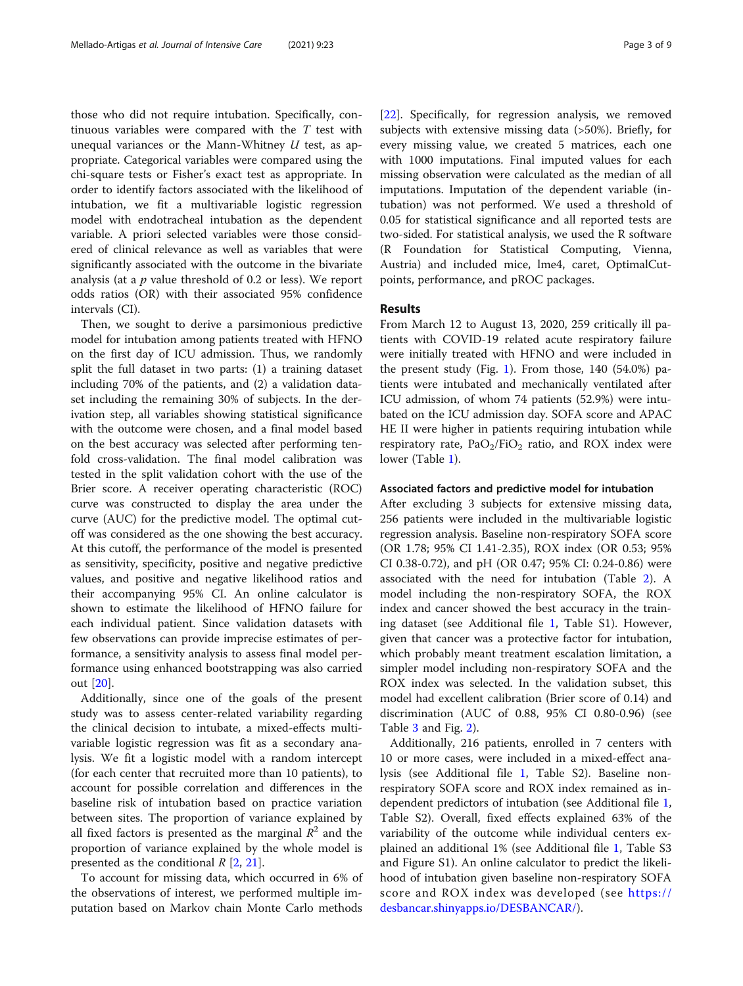those who did not require intubation. Specifically, continuous variables were compared with the T test with unequal variances or the Mann-Whitney  $U$  test, as appropriate. Categorical variables were compared using the chi-square tests or Fisher's exact test as appropriate. In order to identify factors associated with the likelihood of intubation, we fit a multivariable logistic regression model with endotracheal intubation as the dependent variable. A priori selected variables were those considered of clinical relevance as well as variables that were significantly associated with the outcome in the bivariate analysis (at a  $p$  value threshold of 0.2 or less). We report odds ratios (OR) with their associated 95% confidence intervals (CI).

Then, we sought to derive a parsimonious predictive model for intubation among patients treated with HFNO on the first day of ICU admission. Thus, we randomly split the full dataset in two parts: (1) a training dataset including 70% of the patients, and (2) a validation dataset including the remaining 30% of subjects. In the derivation step, all variables showing statistical significance with the outcome were chosen, and a final model based on the best accuracy was selected after performing tenfold cross-validation. The final model calibration was tested in the split validation cohort with the use of the Brier score. A receiver operating characteristic (ROC) curve was constructed to display the area under the curve (AUC) for the predictive model. The optimal cutoff was considered as the one showing the best accuracy. At this cutoff, the performance of the model is presented as sensitivity, specificity, positive and negative predictive values, and positive and negative likelihood ratios and their accompanying 95% CI. An online calculator is shown to estimate the likelihood of HFNO failure for each individual patient. Since validation datasets with few observations can provide imprecise estimates of performance, a sensitivity analysis to assess final model performance using enhanced bootstrapping was also carried out [\[20](#page-8-0)].

Additionally, since one of the goals of the present study was to assess center-related variability regarding the clinical decision to intubate, a mixed-effects multivariable logistic regression was fit as a secondary analysis. We fit a logistic model with a random intercept (for each center that recruited more than 10 patients), to account for possible correlation and differences in the baseline risk of intubation based on practice variation between sites. The proportion of variance explained by all fixed factors is presented as the marginal  $R^2$  and the proportion of variance explained by the whole model is presented as the conditional  $R$  [\[2,](#page-7-0) [21\]](#page-8-0).

To account for missing data, which occurred in 6% of the observations of interest, we performed multiple imputation based on Markov chain Monte Carlo methods [[22\]](#page-8-0). Specifically, for regression analysis, we removed subjects with extensive missing data (>50%). Briefly, for every missing value, we created 5 matrices, each one with 1000 imputations. Final imputed values for each missing observation were calculated as the median of all imputations. Imputation of the dependent variable (intubation) was not performed. We used a threshold of 0.05 for statistical significance and all reported tests are two-sided. For statistical analysis, we used the R software (R Foundation for Statistical Computing, Vienna, Austria) and included mice, lme4, caret, OptimalCutpoints, performance, and pROC packages.

### Results

From March 12 to August 13, 2020, 259 critically ill patients with COVID-19 related acute respiratory failure were initially treated with HFNO and were included in the present study (Fig. [1\)](#page-3-0). From those,  $140$  (54.0%) patients were intubated and mechanically ventilated after ICU admission, of whom 74 patients (52.9%) were intubated on the ICU admission day. SOFA score and APAC HE II were higher in patients requiring intubation while respiratory rate,  $PaO<sub>2</sub>/FiO<sub>2</sub>$  ratio, and ROX index were lower (Table [1](#page-4-0)).

## Associated factors and predictive model for intubation

After excluding 3 subjects for extensive missing data, 256 patients were included in the multivariable logistic regression analysis. Baseline non-respiratory SOFA score (OR 1.78; 95% CI 1.41-2.35), ROX index (OR 0.53; 95% CI 0.38-0.72), and pH (OR 0.47; 95% CI: 0.24-0.86) were associated with the need for intubation (Table [2\)](#page-5-0). A model including the non-respiratory SOFA, the ROX index and cancer showed the best accuracy in the training dataset (see Additional file [1](#page-6-0), Table S1). However, given that cancer was a protective factor for intubation, which probably meant treatment escalation limitation, a simpler model including non-respiratory SOFA and the ROX index was selected. In the validation subset, this model had excellent calibration (Brier score of 0.14) and discrimination (AUC of 0.88, 95% CI 0.80-0.96) (see Table [3](#page-5-0) and Fig. [2\)](#page-5-0).

Additionally, 216 patients, enrolled in 7 centers with 10 or more cases, were included in a mixed-effect analysis (see Additional file [1,](#page-6-0) Table S2). Baseline nonrespiratory SOFA score and ROX index remained as independent predictors of intubation (see Additional file [1](#page-6-0), Table S2). Overall, fixed effects explained 63% of the variability of the outcome while individual centers explained an additional 1% (see Additional file [1,](#page-6-0) Table S3 and Figure S1). An online calculator to predict the likelihood of intubation given baseline non-respiratory SOFA score and ROX index was developed (see [https://](https://desbancar.shinyapps.io/DESBANCAR/) [desbancar.shinyapps.io/DESBANCAR/](https://desbancar.shinyapps.io/DESBANCAR/)).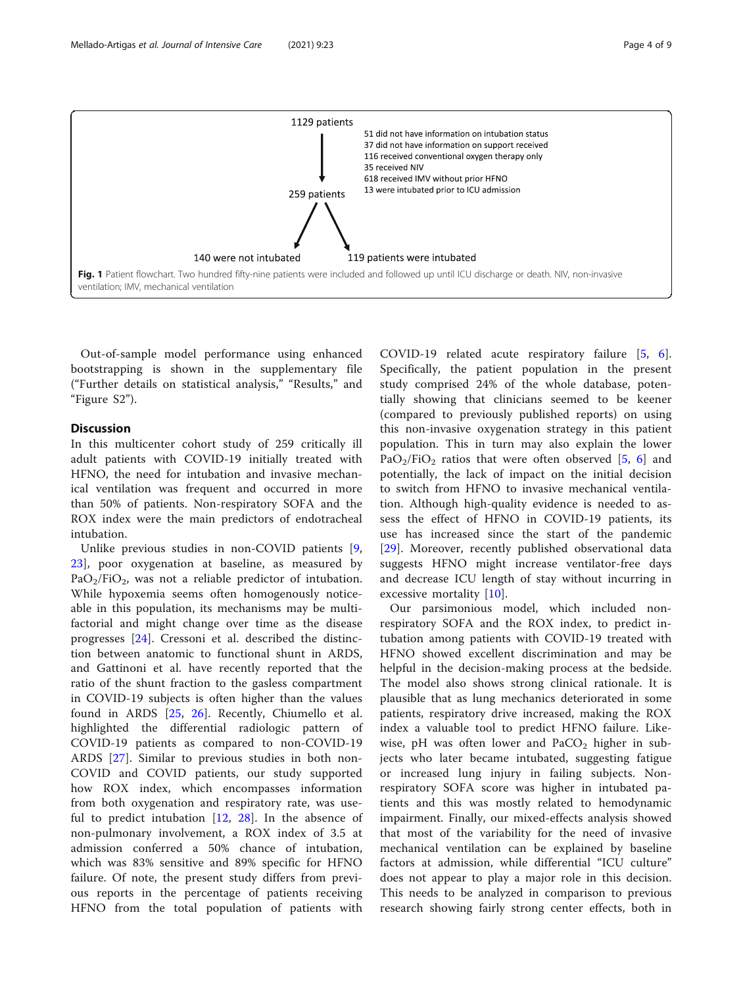<span id="page-3-0"></span>

Out-of-sample model performance using enhanced bootstrapping is shown in the supplementary file ("Further details on statistical analysis," "Results," and "Figure S2").

# **Discussion**

In this multicenter cohort study of 259 critically ill adult patients with COVID-19 initially treated with HFNO, the need for intubation and invasive mechanical ventilation was frequent and occurred in more than 50% of patients. Non-respiratory SOFA and the ROX index were the main predictors of endotracheal intubation.

Unlike previous studies in non-COVID patients [\[9](#page-7-0), [23\]](#page-8-0), poor oxygenation at baseline, as measured by  $PaO<sub>2</sub>/FiO<sub>2</sub>$ , was not a reliable predictor of intubation. While hypoxemia seems often homogenously noticeable in this population, its mechanisms may be multifactorial and might change over time as the disease progresses [\[24](#page-8-0)]. Cressoni et al. described the distinction between anatomic to functional shunt in ARDS, and Gattinoni et al. have recently reported that the ratio of the shunt fraction to the gasless compartment in COVID-19 subjects is often higher than the values found in ARDS [\[25](#page-8-0), [26\]](#page-8-0). Recently, Chiumello et al. highlighted the differential radiologic pattern of COVID-19 patients as compared to non-COVID-19 ARDS [[27\]](#page-8-0). Similar to previous studies in both non-COVID and COVID patients, our study supported how ROX index, which encompasses information from both oxygenation and respiratory rate, was useful to predict intubation  $[12, 28]$  $[12, 28]$  $[12, 28]$ . In the absence of non-pulmonary involvement, a ROX index of 3.5 at admission conferred a 50% chance of intubation, which was 83% sensitive and 89% specific for HFNO failure. Of note, the present study differs from previous reports in the percentage of patients receiving HFNO from the total population of patients with

COVID-19 related acute respiratory failure [\[5](#page-7-0), [6](#page-7-0)]. Specifically, the patient population in the present study comprised 24% of the whole database, potentially showing that clinicians seemed to be keener (compared to previously published reports) on using this non-invasive oxygenation strategy in this patient population. This in turn may also explain the lower  $PaO<sub>2</sub>/FiO<sub>2</sub>$  ratios that were often observed [[5](#page-7-0), [6](#page-7-0)] and potentially, the lack of impact on the initial decision to switch from HFNO to invasive mechanical ventilation. Although high-quality evidence is needed to assess the effect of HFNO in COVID-19 patients, its use has increased since the start of the pandemic [[29\]](#page-8-0). Moreover, recently published observational data suggests HFNO might increase ventilator-free days and decrease ICU length of stay without incurring in excessive mortality [[10\]](#page-7-0).

Our parsimonious model, which included nonrespiratory SOFA and the ROX index, to predict intubation among patients with COVID-19 treated with HFNO showed excellent discrimination and may be helpful in the decision-making process at the bedside. The model also shows strong clinical rationale. It is plausible that as lung mechanics deteriorated in some patients, respiratory drive increased, making the ROX index a valuable tool to predict HFNO failure. Likewise, pH was often lower and  $PaCO<sub>2</sub>$  higher in subjects who later became intubated, suggesting fatigue or increased lung injury in failing subjects. Nonrespiratory SOFA score was higher in intubated patients and this was mostly related to hemodynamic impairment. Finally, our mixed-effects analysis showed that most of the variability for the need of invasive mechanical ventilation can be explained by baseline factors at admission, while differential "ICU culture" does not appear to play a major role in this decision. This needs to be analyzed in comparison to previous research showing fairly strong center effects, both in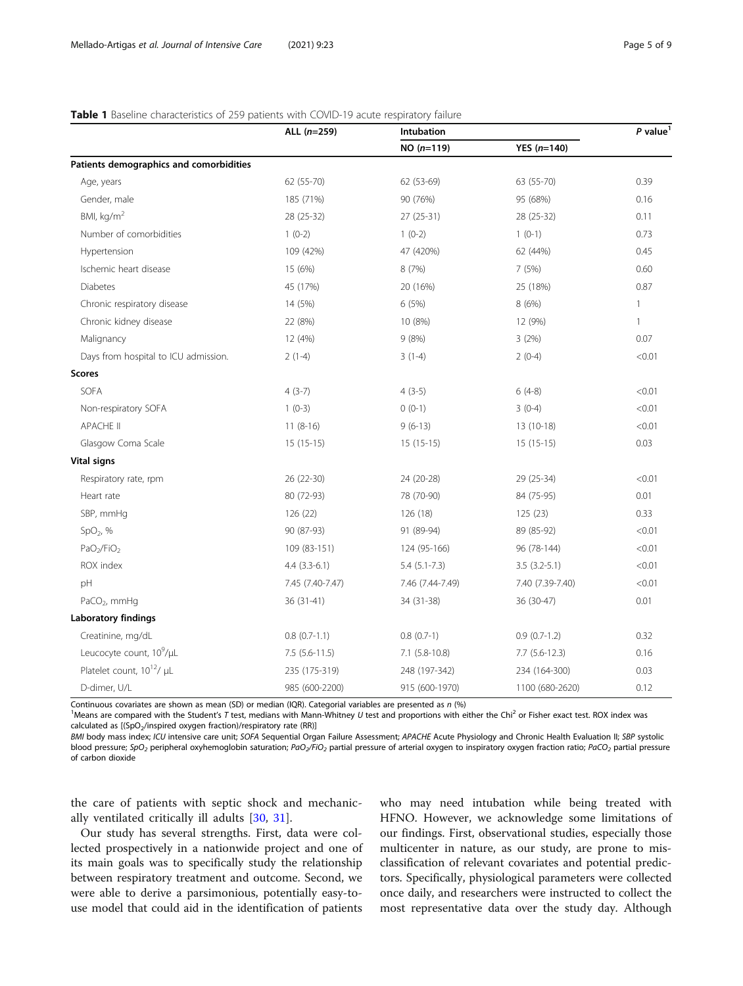# <span id="page-4-0"></span>Table 1 Baseline characteristics of 259 patients with COVID-19 acute respiratory failure

|                                         | ALL $(n=259)$     | Intubation       |                  | $P$ value <sup>1</sup> |
|-----------------------------------------|-------------------|------------------|------------------|------------------------|
|                                         |                   | $NO (n=119)$     | YES $(n=140)$    |                        |
| Patients demographics and comorbidities |                   |                  |                  |                        |
| Age, years                              | 62 (55-70)        | 62 (53-69)       | 63 (55-70)       | 0.39                   |
| Gender, male                            | 185 (71%)         | 90 (76%)         | 95 (68%)         | 0.16                   |
| BMI, kg/m <sup>2</sup>                  | 28 (25-32)        | 27 (25-31)       | 28 (25-32)       | 0.11                   |
| Number of comorbidities                 | $1(0-2)$          | $1(0-2)$         | $1(0-1)$         | 0.73                   |
| Hypertension                            | 109 (42%)         | 47 (420%)        | 62 (44%)         | 0.45                   |
| Ischemic heart disease                  | 15 (6%)           | 8 (7%)           | 7(5%)            | 0.60                   |
| <b>Diabetes</b>                         | 45 (17%)          | 20 (16%)         | 25 (18%)         | 0.87                   |
| Chronic respiratory disease             | 14 (5%)           | 6 (5%)           | 8 (6%)           | 1                      |
| Chronic kidney disease                  | 22 (8%)           | 10 (8%)          | 12 (9%)          | $\mathbf{1}$           |
| Malignancy                              | 12 (4%)           | 9 (8%)           | 3(2%)            | 0.07                   |
| Days from hospital to ICU admission.    | $2(1-4)$          | $3(1-4)$         | $2(0-4)$         | < 0.01                 |
| <b>Scores</b>                           |                   |                  |                  |                        |
| SOFA                                    | $4(3-7)$          | $4(3-5)$         | $6(4-8)$         | < 0.01                 |
| Non-respiratory SOFA                    | $1(0-3)$          | $0(0-1)$         | $3(0-4)$         | < 0.01                 |
| <b>APACHE II</b>                        | $11(8-16)$        | $9(6-13)$        | 13 (10-18)       | < 0.01                 |
| Glasgow Coma Scale                      | $15(15-15)$       | $15(15-15)$      | $15(15-15)$      | 0.03                   |
| <b>Vital signs</b>                      |                   |                  |                  |                        |
| Respiratory rate, rpm                   | 26 (22-30)        | 24 (20-28)       | 29 (25-34)       | < 0.01                 |
| Heart rate                              | 80 (72-93)        | 78 (70-90)       | 84 (75-95)       | 0.01                   |
| SBP, mmHq                               | 126 (22)          | 126 (18)         | 125(23)          | 0.33                   |
| SpO <sub>2</sub> , %                    | 90 (87-93)        | 91 (89-94)       | 89 (85-92)       | < 0.01                 |
| PaO <sub>2</sub> /FiO <sub>2</sub>      | 109 (83-151)      | 124 (95-166)     | 96 (78-144)      | < 0.01                 |
| ROX index                               | $4.4$ $(3.3-6.1)$ | $5.4(5.1-7.3)$   | $3.5(3.2-5.1)$   | < 0.01                 |
| pH                                      | 7.45 (7.40-7.47)  | 7.46 (7.44-7.49) | 7.40 (7.39-7.40) | < 0.01                 |
| PaCO <sub>2</sub> , mmHg                | 36 (31-41)        | 34 (31-38)       | 36 (30-47)       | 0.01                   |
| Laboratory findings                     |                   |                  |                  |                        |
| Creatinine, mg/dL                       | $0.8(0.7-1.1)$    | $0.8(0.7-1)$     | $0.9(0.7-1.2)$   | 0.32                   |
| Leucocyte count, 10 <sup>9</sup> /µL    | 7.5 (5.6-11.5)    | 7.1 (5.8-10.8)   | 7.7 (5.6-12.3)   | 0.16                   |
| Platelet count, 10 <sup>12</sup> / µL   | 235 (175-319)     | 248 (197-342)    | 234 (164-300)    | 0.03                   |
| D-dimer, U/L                            | 985 (600-2200)    | 915 (600-1970)   | 1100 (680-2620)  | 0.12                   |

Continuous covariates are shown as mean (SD) or median (IQR). Categorial variables are presented as n (%)

<sup>1</sup>Means are compared with the Student's T test, medians with Mann-Whitney U test and proportions with either the Chi<sup>2</sup> or Fisher exact test. ROX index was calculated as [(SpO<sub>2</sub>/inspired oxygen fraction)/respiratory rate (RR)]

BMI body mass index; ICU intensive care unit; SOFA Sequential Organ Failure Assessment; APACHE Acute Physiology and Chronic Health Evaluation II; SBP systolic blood pressure; SpO<sub>2</sub> peripheral oxyhemoglobin saturation; PaO<sub>2</sub>/FiO<sub>2</sub> partial pressure of arterial oxygen to inspiratory oxygen fraction ratio; PaCO<sub>2</sub> partial pressure of carbon dioxide

the care of patients with septic shock and mechanically ventilated critically ill adults [[30,](#page-8-0) [31](#page-8-0)].

Our study has several strengths. First, data were collected prospectively in a nationwide project and one of its main goals was to specifically study the relationship between respiratory treatment and outcome. Second, we were able to derive a parsimonious, potentially easy-touse model that could aid in the identification of patients

who may need intubation while being treated with HFNO. However, we acknowledge some limitations of our findings. First, observational studies, especially those multicenter in nature, as our study, are prone to misclassification of relevant covariates and potential predictors. Specifically, physiological parameters were collected once daily, and researchers were instructed to collect the most representative data over the study day. Although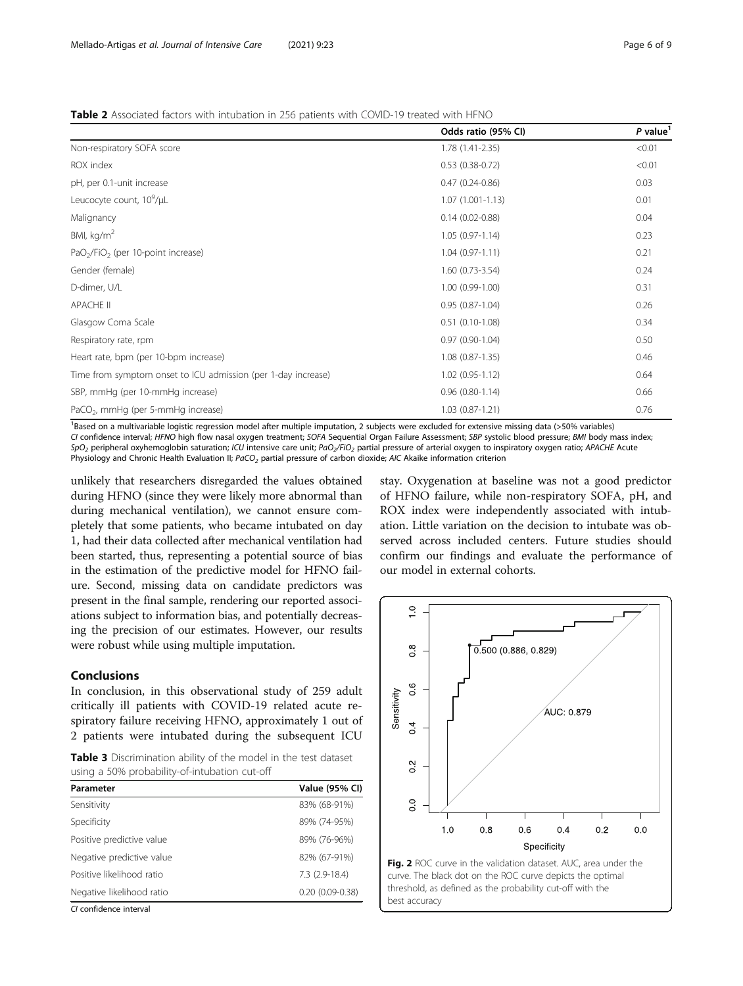<span id="page-5-0"></span>Table 2 Associated factors with intubation in 256 patients with COVID-19 treated with HFNO

|                                                               | Odds ratio (95% CI)  | $P$ value <sup>1</sup> |
|---------------------------------------------------------------|----------------------|------------------------|
| Non-respiratory SOFA score                                    | $1.78(1.41 - 2.35)$  | < 0.01                 |
| ROX index                                                     | $0.53$ $(0.38-0.72)$ | < 0.01                 |
| pH, per 0.1-unit increase                                     | $0.47(0.24 - 0.86)$  | 0.03                   |
| Leucocyte count, 10 <sup>9</sup> /µL                          | $1.07(1.001 - 1.13)$ | 0.01                   |
| Malignancy                                                    | $0.14(0.02 - 0.88)$  | 0.04                   |
| BMI, $kg/m2$                                                  | $1.05(0.97-1.14)$    | 0.23                   |
| PaO <sub>2</sub> /FiO <sub>2</sub> (per 10-point increase)    | $1.04(0.97-1.11)$    | 0.21                   |
| Gender (female)                                               | $1.60(0.73-3.54)$    | 0.24                   |
| D-dimer, U/L                                                  | $1.00(0.99-1.00)$    | 0.31                   |
| <b>APACHE II</b>                                              | $0.95(0.87-1.04)$    | 0.26                   |
| Glasgow Coma Scale                                            | $0.51(0.10-1.08)$    | 0.34                   |
| Respiratory rate, rpm                                         | $0.97(0.90-1.04)$    | 0.50                   |
| Heart rate, bpm (per 10-bpm increase)                         | $1.08(0.87-1.35)$    | 0.46                   |
| Time from symptom onset to ICU admission (per 1-day increase) | $1.02(0.95 - 1.12)$  | 0.64                   |
| SBP, mmHg (per 10-mmHg increase)                              | $0.96(0.80-1.14)$    | 0.66                   |
| PaCO <sub>2</sub> , mmHg (per 5-mmHg increase)                | $1.03(0.87-1.21)$    | 0.76                   |

<sup>1</sup>Based on a multivariable logistic regression model after multiple imputation, 2 subjects were excluded for extensive missing data (>50% variables) CI confidence interval; HFNO high flow nasal oxygen treatment; SOFA Sequential Organ Failure Assessment; SBP systolic blood pressure; BMI body mass index;  $SpO<sub>2</sub>$  peripheral oxyhemoglobin saturation; ICU intensive care unit; PaO<sub>2</sub>/FiO<sub>2</sub> partial pressure of arterial oxygen to inspiratory oxygen ratio; APACHE Acute Physiology and Chronic Health Evaluation II; PaCO<sub>2</sub> partial pressure of carbon dioxide; AIC Akaike information criterion

unlikely that researchers disregarded the values obtained during HFNO (since they were likely more abnormal than during mechanical ventilation), we cannot ensure completely that some patients, who became intubated on day 1, had their data collected after mechanical ventilation had been started, thus, representing a potential source of bias in the estimation of the predictive model for HFNO failure. Second, missing data on candidate predictors was present in the final sample, rendering our reported associations subject to information bias, and potentially decreasing the precision of our estimates. However, our results were robust while using multiple imputation.

# Conclusions

In conclusion, in this observational study of 259 adult critically ill patients with COVID-19 related acute respiratory failure receiving HFNO, approximately 1 out of 2 patients were intubated during the subsequent ICU

Table 3 Discrimination ability of the model in the test dataset using a 50% probability-of-intubation cut-off

| Parameter                 | Value (95% CI)      |
|---------------------------|---------------------|
| Sensitivity               | 83% (68-91%)        |
| Specificity               | 89% (74-95%)        |
| Positive predictive value | 89% (76-96%)        |
| Negative predictive value | 82% (67-91%)        |
| Positive likelihood ratio | 7.3 (2.9-18.4)      |
| Negative likelihood ratio | $0.20(0.09 - 0.38)$ |

CI confidence interval

stay. Oxygenation at baseline was not a good predictor of HFNO failure, while non-respiratory SOFA, pH, and ROX index were independently associated with intubation. Little variation on the decision to intubate was observed across included centers. Future studies should confirm our findings and evaluate the performance of our model in external cohorts.

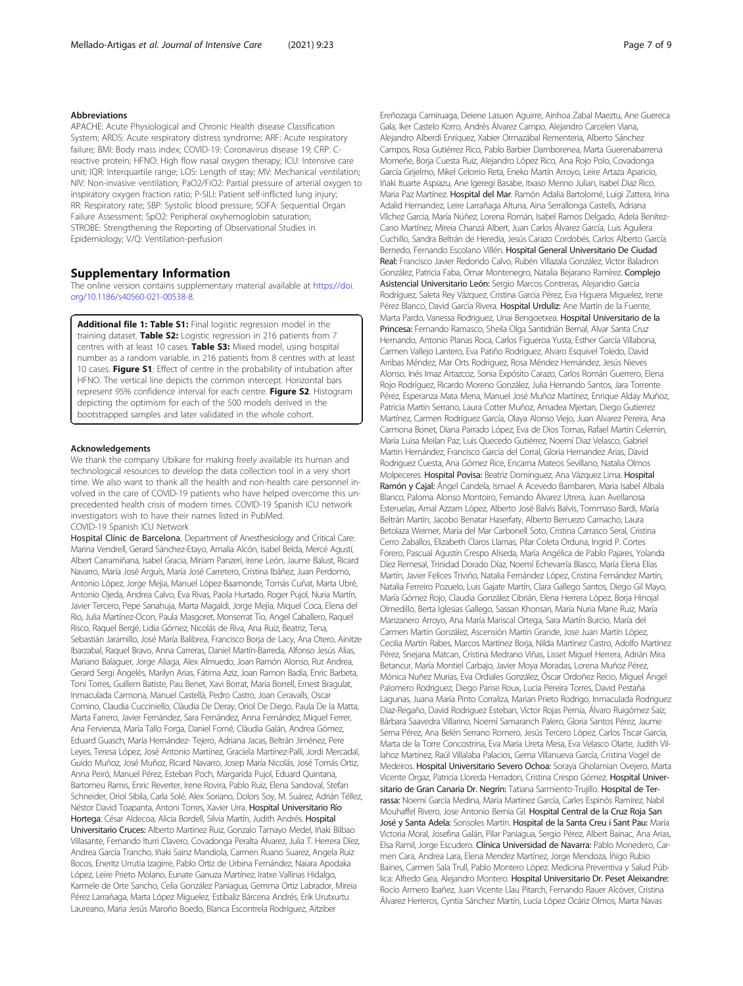# <span id="page-6-0"></span>Abbreviations

APACHE: Acute Physiological and Chronic Health disease Classification System; ARDS: Acute respiratory distress syndrome; ARF: Acute respiratory failure; BMI: Body mass index; COVID-19: Coronavirus disease 19; CRP: Creactive protein; HFNO: High flow nasal oxygen therapy; ICU: Intensive care unit; IQR: Interquartile range; LOS: Length of stay; MV: Mechanical ventilation; NIV: Non-invasive ventilation; PaO2/FiO2: Partial pressure of arterial oxygen to inspiratory oxygen fraction ratio; P-SILI: Patient self-inflicted lung injury; RR: Respiratory rate; SBP: Systolic blood pressure; SOFA: Sequential Organ Failure Assessment; SpO2: Peripheral oxyhemoglobin saturation; STROBE: Strengthening the Reporting of Observational Studies in Epidemiology; V/Q: Ventilation-perfusion

# Supplementary Information

The online version contains supplementary material available at [https://doi.](https://doi.org/10.1186/s40560-021-00538-8) [org/10.1186/s40560-021-00538-8.](https://doi.org/10.1186/s40560-021-00538-8)

Additional file 1: Table S1: Final logistic regression model in the training dataset. Table S2: Logistic regression in 216 patients from 7 centres with at least 10 cases. Table S3: Mixed model, using hospital number as a random variable, in 216 patients from 8 centres with at least 10 cases. Figure S1: Effect of centre in the probability of intubation after HFNO. The vertical line depicts the common intercept. Horizontal bars represent 95% confidence interval for each centre. Figure S2. Histogram depicting the optimism for each of the 500 models derived in the bootstrapped samples and later validated in the whole cohort.

#### Acknowledgements

We thank the company Ubikare for making freely available its human and technological resources to develop the data collection tool in a very short time. We also want to thank all the health and non-health care personnel involved in the care of COVID-19 patients who have helped overcome this unprecedented health crisis of modern times. COVID-19 Spanish ICU network investigators wish to have their names listed in PubMed.

COVID-19 Spanish ICU Network

Hospital Clínic de Barcelona, Department of Anesthesiology and Critical Care: Marina Vendrell, Gerard Sánchez-Etayo, Amalia Alcón, Isabel Belda, Mercé Agustí, Albert Carramiñana, Isabel Gracia, Miriam Panzeri, Irene León, Jaume Balust, Ricard Navarro, María José Arguís, María José Carretero, Cristina Ibáñez, Juan Perdomo, Antonio López, Jorge Mejia, Manuel López-Baamonde, Tomás Cuñat, Marta Ubré, Antonio Ojeda, Andrea Calvo, Eva Rivas, Paola Hurtado, Roger Pujol, Nuria Martín, Javier Tercero, Pepe Sanahuja, Marta Magaldi, Jorge Mejia, Miquel Coca, Elena del Rio, Julia Martínez-Ocon, Paula Masgoret, Monserrat Tio, Angel Caballero, Raquel Risco, Raquel Bergé, Lidia Gómez, Nicolás de Riva, Ana Ruiz, Beatriz, Tena, Sebastián Jaramillo, José María Balibrea, Francisco Borja de Lacy, Ana Otero, Ainitze Ibarzabal, Raquel Bravo, Anna Carreras, Daniel Martín-Barreda, Alfonso Jesús Alias, Mariano Balaguer, Jorge Aliaga, Alex Almuedo, Joan Ramón Alonso, Rut Andrea, Gerard Sergi Angelès, Marilyn Arias, Fátima Aziz, Joan Ramon Badía, Enric Barbeta, Toni Torres, Guillem Batiste, Pau Benet, Xavi Borrat, María Borrell, Ernest Bragulat, Inmaculada Carmona, Manuel Castellà, Pedro Castro, Joan Ceravalls, Oscar Comino, Claudia Cucciniello, Clàudia De Deray, Oriol De Diego, Paula De la Matta, Marta Farrero, Javier Fernández, Sara Fernández, Anna Fernández, Miquel Ferrer, Ana Fervienza, María Tallo Forga, Daniel Forné, Clàudia Galán, Andrea Gómez, Eduard Guasch, María Hernández- Tejero, Adriana Jacas, Beltrán Jiménez, Pere Leyes, Teresa López, José Antonio Martínez, Graciela Martínez-Pallí, Jordi Mercadal, Guido Muñoz, José Muñoz, Ricard Navarro, Josep María Nicolás, José Tomás Ortiz, Anna Peiró, Manuel Pérez, Esteban Poch, Margarida Pujol, Eduard Quintana, Bartomeu Ramis, Enric Reverter, Irene Rovira, Pablo Ruiz, Elena Sandoval, Stefan Schneider, Oriol Sibila, Carla Solé, Alex Soriano, Dolors Soy, M. Suárez, Adrián Téllez, Néstor David Toapanta, Antoni Torres, Xavier Urra. Hospital Universitario Río Hortega: César Aldecoa, Alicia Bordell, Silvia Martín, Judith Andrés. Hospital Universitario Cruces: Alberto Martínez Ruiz, Gonzalo Tamayo Medel, Iñaki Bilbao Villasante, Fernando Iturri Clavero, Covadonga Peralta Álvarez, Julia T. Herrera Díez, Andrea García Trancho, Iñaki Sainz Mandiola, Carmen Ruano Suarez, Angela Ruiz Bocos, Eneritz Urrutia Izagirre, Pablo Ortiz de Urbina Fernández, Naiara Apodaka López, Leire Prieto Molano, Eunate Ganuza Martínez, Iratxe Vallinas Hidalgo, Karmele de Orte Sancho, Celia González Paniagua, Gemma Ortiz Labrador, Mireia Pérez Larrañaga, Marta López Miguelez, Estíbaliz Bárcena Andrés, Erik Urutxurtu Laureano, Maria Jesús Maroño Boedo, Blanca Escontrela Rodríguez, Aitziber

Ereñozaga Camiruaga, Deiene Lasuen Aguirre, Ainhoa Zabal Maeztu, Ane Guereca Gala, Iker Castelo Korro, Andrés Álvarez Campo, Alejandro Carcelen Viana, Alejandro Alberdi Enríquez, Xabier Ormazábal Rementeria, Alberto Sánchez Campos, Rosa Gutiérrez Rico, Pablo Barbier Damborenea, Marta Guerenabarrena Momeñe, Borja Cuesta Ruiz, Alejandro López Rico, Ana Rojo Polo, Covadonga García Grijelmo, Mikel Celorrio Reta, Eneko Martín Arroyo, Leire Artaza Aparicio, Iñaki Ituarte Aspiazu, Ane Igeregi Basabe, Itxaso Merino Julian, Isabel Diaz Rico, Maria Paz Martínez. Hospital del Mar: Ramón Adalia Bartolomé, Luigi Zattera, Irina Adalid Hernandez, Leire Larrañaga Altuna, Aina Serrallonga Castells, Adriana Vílchez Garcia, María Núñez, Lorena Román, Isabel Ramos Delgado, Adela Benítez-Cano Martínez, Mireia Chanzá Albert, Juan Carlos Álvarez García, Luis Aguilera Cuchillo, Sandra Beltrán de Heredia, Jesús Carazo Cordobés, Carlos Alberto García Bernedo, Fernando Escolano Villén. Hospital General Universitario De Ciudad Real: Francisco Javier Redondo Calvo, Rubén Villazala González, Victor Baladron González, Patricia Faba, Omar Montenegro, Natalia Bejarano Ramírez. Complejo Asistencial Universitario León: Sergio Marcos Contreras, Alejandro Garcia Rodríguez, Saleta Rey Vázquez, Cristina Garcia Pérez, Eva Higuera Miguelez, Irene Pérez Blanco, David García Rivera. Hospital Urduliz: Ane Martín de la Fuente, Marta Pardo, Vanessa Rodriguez, Unai Bengoetxea. Hospital Universitario de la Princesa: Fernando Ramasco, Sheila Olga Santidrián Bernal, Alvar Santa Cruz Hernando, Antonio Planas Roca, Carlos Figueroa Yusta, Esther García Villabona, Carmen Vallejo Lantero, Eva Patiño Rodriguez, Alvaro Esquivel Toledo, David Arribas Méndez, Mar Orts Rodriguez, Rosa Méndez Hernández, Jesús Nieves Alonso, Inés Imaz Artazcoz, Sonia Expósito Carazo, Carlos Román Guerrero, Elena Rojo Rodríguez, Ricardo Moreno González, Julia Hernando Santos, Jara Torrente Pérez, Esperanza Mata Mena, Manuel José Muñoz Martínez, Enrique Alday Muñoz, Patricia Martin Serrano, Laura Cotter Muñoz, Amadea Mjertan, Diego Gutierrez Martínez, Carmen Rodríguez García, Olaya Alonso Viejo, Juan Alvarez Pereira, Ana Carmona Bonet, Diana Parrado López, Eva de Dios Tomas, Rafael Martín Celemin, María Luisa Meilan Paz, Luis Quecedo Gutiérrez, Noemí Diaz Velasco, Gabriel Martin Hernández, Francisco Garcia del Corral, Gloria Hernandez Arias, David Rodriguez Cuesta, Ana Gómez Rice, Encarna Mateos Sevillano, Natalia Olmos Molpeceres. Hospital Povisa: Beatriz Domínguez, Ana Vázquez Lima. Hospital Ramón y Cajal: Ángel Candela, Ismael A Acevedo Bambaren, Maria Isabel Albala Blanco, Paloma Alonso Montoiro, Fernando Álvarez Utrera, Juan Avellanosa Esteruelas, Amal Azzam López, Alberto José Balvis Balvis, Tommaso Bardi, María Beltrán Martín, Jacobo Benatar Haserfaty, Alberto Berruezo Camacho, Laura Betolaza Weimer, María del Mar Carbonell Soto, Cristina Carrasco Seral, Cristina Cerro Zaballos, Elizabeth Claros Llamas, Pilar Coleta Orduna, Ingrid P. Cortes Forero, Pascual Agustín Crespo Aliseda, María Angélica de Pablo Pajares, Yolanda Díez Remesal, Trinidad Dorado Díaz, Noemí Echevarría Blasco, María Elena Elías Martín, Javier Felices Triviño, Natalia Fernández López, Cristina Fernández Martín, Natalia Ferreiro Pozuelo, Luis Gajate Martín, Clara Gallego Santos, Diego Gil Mayo, María Gómez Rojo, Claudia González Cibrián, Elena Herrera López, Borja Hinojal Olmedillo, Berta Iglesias Gallego, Sassan Khonsari, María Nuria Mane Ruiz, María Manzanero Arroyo, Ana María Mariscal Ortega, Sara Martín Burcio, María del Carmen Martín González, Ascensión Martín Grande, Jose Juan Martín López, Cecilia Martín Rabes, Marcos Martínez Borja, Nilda Martínez Castro, Adolfo Martínez Pérez, Snejana Matcan, Cristina Medrano Viñas, Lisset Miguel Herrera, Adrián Mira Betancur, María Montiel Carbajo, Javier Moya Moradas, Lorena Muñoz Pérez, Mónica Nuñez Murias, Eva Ordiales González, Óscar Ordoñez Recio, Miguel Ángel Palomero Rodriguez, Diego Parise Roux, Lucia Pereira Torres, David Pestaña Lagunas, Juana María Pinto Corraliza, Marian Prieto Rodrigo, Inmaculada Rodriguez Diaz-Regaño, David Rodriguez Esteban, Víctor Rojas Pernia, Álvaro Ruigómez Saiz, Bárbara Saavedra Villarino, Noemí Samaranch Palero, Gloria Santos Pérez, Jaume Serna Pérez, Ana Belén Serrano Romero, Jesús Tercero López, Carlos Tiscar García, Marta de la Torre Concostrina, Eva María Ureta Mesa, Eva Velasco Olarte, Judith Villahoz Martínez, Raúl Villalaba Palacios, Gema Villanueva García, Cristina Vogel de Medeiros. Hospital Universitario Severo Ochoa: Soraya Gholamian Ovejero, Marta Vicente Orgaz, Patricia Lloreda Herradon, Cristina Crespo Gómez. Hospital Universitario de Gran Canaria Dr. Negrín: Tatiana Sarmiento-Trujillo. Hospital de Terrassa: Noemí García Medina, María Martínez García, Carles Espinós Ramírez, Nabil Mouhaffel Rivero, Jose Antonio Bernia Gil. Hospital Central de la Cruz Roja San José y Santa Adela: Sonsoles Martín. Hospital de la Santa Creu i Sant Pau: María Victoria Moral, Josefina Galán, Pilar Paniagua, Sergio Pérez, Albert Bainac, Ana Arias, Elsa Ramil, Jorge Escudero. Clínica Universidad de Navarra: Pablo Monedero, Carmen Cara, Andrea Lara, Elena Mendez Martínez, Jorge Mendoza, Íñigo Rubio Baines, Carmen Sala Trull, Pablo Montero López. Medicina Preventiva y Salud Pública: Alfredo Gea, Alejandro Montero. Hospital Universitario Dr. Peset Aleixandre: Rocío Armero Ibañez, Juan Vicente Llau Pitarch, Fernando Rauer Alcóver, Cristina Álvarez Herreros, Cyntia Sánchez Martín, Lucía López Ocáriz Olmos, Marta Navas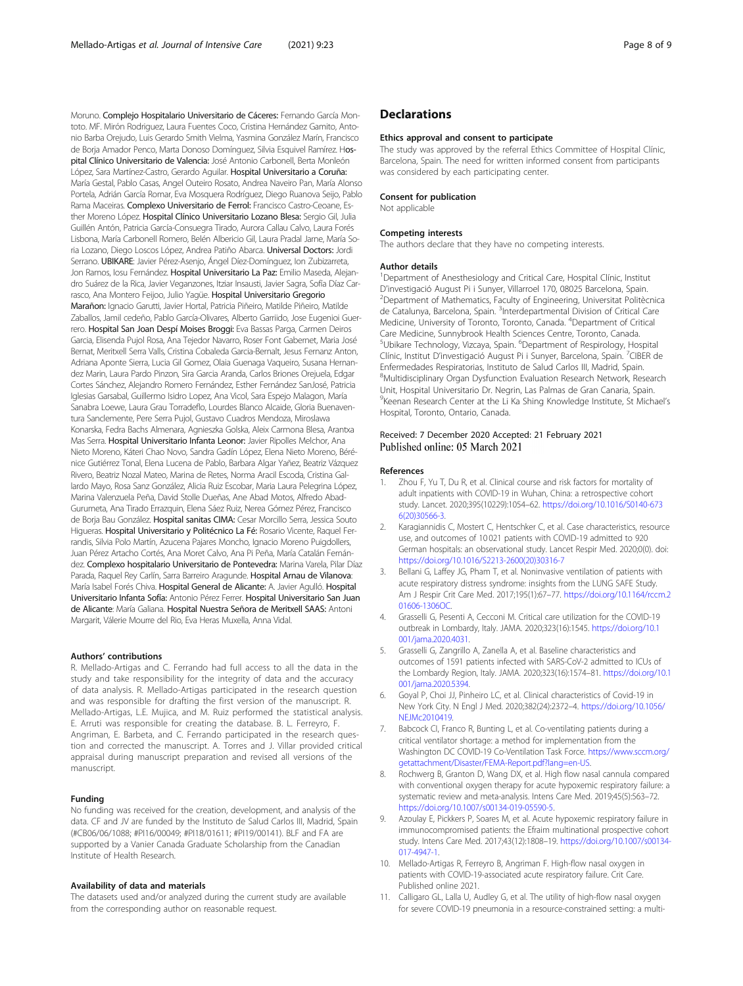<span id="page-7-0"></span>Moruno. Complejo Hospitalario Universitario de Cáceres: Fernando García Montoto. MF. Mirón Rodriguez, Laura Fuentes Coco, Cristina Hernández Gamito, Antonio Barba Orejudo, Luis Gerardo Smith Vielma, Yasmina González Marín, Francisco de Borja Amador Penco, Marta Donoso Domínguez, Silvia Esquivel Ramírez. Hospital Clínico Universitario de Valencia: José Antonio Carbonell, Berta Monleón López, Sara Martínez-Castro, Gerardo Aguilar. Hospital Universitario a Coruña: María Gestal, Pablo Casas, Angel Outeiro Rosato, Andrea Naveiro Pan, María Alonso Portela, Adrián García Romar, Eva Mosquera Rodríguez, Diego Ruanova Seijo, Pablo Rama Maceiras. Complexo Universitario de Ferrol: Francisco Castro-Ceoane, Esther Moreno López. Hospital Clínico Universitario Lozano Blesa: Sergio Gil, Julia Guillén Antón, Patricia García-Consuegra Tirado, Aurora Callau Calvo, Laura Forés Lisbona, María Carbonell Romero, Belén Albericio Gil, Laura Pradal Jarne, María Soria Lozano, Diego Loscos López, Andrea Patiño Abarca. Universal Doctors: Jordi Serrano. UBIKARE: Javier Pérez-Asenjo, Ángel Díez-Domínguez, Ion Zubizarreta, Jon Ramos, Iosu Fernández. Hospital Universitario La Paz: Emilio Maseda, Alejandro Suárez de la Rica, Javier Veganzones, Itziar Insausti, Javier Sagra, Sofía Díaz Carrasco, Ana Montero Feijoo, Julio Yagüe. Hospital Universitario Gregorio Marañon: Ignacio Garutti, Javier Hortal, Patricia Piñeiro, Matilde Piñeiro, Matilde Zaballos, Jamil cedeño, Pablo García-Olivares, Alberto Garriido, Jose Eugenioi Guerrero. Hospital San Joan Despí Moises Broggi: Eva Bassas Parga, Carmen Deiros Garcia, Elisenda Pujol Rosa, Ana Tejedor Navarro, Roser Font Gabernet, Maria José Bernat, Meritxell Serra Valls, Cristina Cobaleda Garcia-Bernalt, Jesus Fernanz Anton, Adriana Aponte Sierra, Lucia Gil Gomez, Olaia Guenaga Vaqueiro, Susana Hernandez Marin, Laura Pardo Pinzon, Sira Garcia Aranda, Carlos Briones Orejuela, Edgar Cortes Sánchez, Alejandro Romero Fernández, Esther Fernández SanJosé, Patricia Iglesias Garsabal, Guillermo Isidro Lopez, Ana Vicol, Sara Espejo Malagon, María Sanabra Loewe, Laura Grau Torradeflo, Lourdes Blanco Alcaide, Gloria Buenaventura Sanclemente, Pere Serra Pujol, Gustavo Cuadros Mendoza, Miroslawa Konarska, Fedra Bachs Almenara, Agnieszka Golska, Aleix Carmona Blesa, Arantxa Mas Serra. Hospital Universitario Infanta Leonor: Javier Ripolles Melchor, Ana Nieto Moreno, Káteri Chao Novo, Sandra Gadín López, Elena Nieto Moreno, Bérénice Gutiérrez Tonal, Elena Lucena de Pablo, Barbara Algar Yañez, Beatriz Vázquez Rivero, Beatriz Nozal Mateo, Marina de Retes, Norma Aracil Escoda, Cristina Gallardo Mayo, Rosa Sanz González, Alicia Ruiz Escobar, Maria Laura Pelegrina López, Marina Valenzuela Peña, David Stolle Dueñas, Ane Abad Motos, Alfredo Abad-Gurumeta, Ana Tirado Errazquin, Elena Sáez Ruiz, Nerea Gómez Pérez, Francisco de Borja Bau González. Hospital sanitas CIMA: Cesar Morcillo Serra, Jessica Souto Higueras. Hospital Universitario y Politécnico La Fé: Rosario Vicente, Raquel Ferrandis, Silvia Polo Martín, Azucena Pajares Moncho, Ignacio Moreno Puigdollers, Juan Pérez Artacho Cortés, Ana Moret Calvo, Ana Pi Peña, María Catalán Fernández. Complexo hospitalario Universitario de Pontevedra: Marina Varela, Pilar Díaz Parada, Raquel Rey Carlín, Sarra Barreiro Aragunde. Hospital Arnau de Vilanova: María Isabel Forés Chiva. Hospital General de Alicante: A. Javier Agulló. Hospital Universitario Infanta Sofía: Antonio Pérez Ferrer. Hospital Universitario San Juan de Alicante: María Galiana. Hospital Nuestra Señora de Meritxell SAAS: Antoni Margarit, Válerie Mourre del Rio, Eva Heras Muxella, Anna Vidal.

#### Authors' contributions

R. Mellado-Artigas and C. Ferrando had full access to all the data in the study and take responsibility for the integrity of data and the accuracy of data analysis. R. Mellado-Artigas participated in the research question and was responsible for drafting the first version of the manuscript. R. Mellado-Artigas, L.E. Mujica, and M. Ruiz performed the statistical analysis. E. Arruti was responsible for creating the database. B. L. Ferreyro, F. Angriman, E. Barbeta, and C. Ferrando participated in the research question and corrected the manuscript. A. Torres and J. Villar provided critical appraisal during manuscript preparation and revised all versions of the manuscript.

#### Funding

No funding was received for the creation, development, and analysis of the data. CF and JV are funded by the Instituto de Salud Carlos III, Madrid, Spain (#CB06/06/1088; #PI16/00049; #PI18/01611; #PI19/00141). BLF and FA are supported by a Vanier Canada Graduate Scholarship from the Canadian Institute of Health Research.

#### Availability of data and materials

The datasets used and/or analyzed during the current study are available from the corresponding author on reasonable request.

# **Declarations**

#### Ethics approval and consent to participate

The study was approved by the referral Ethics Committee of Hospital Clínic, Barcelona, Spain. The need for written informed consent from participants was considered by each participating center.

# Consent for publication

Not applicable

#### Competing interests

The authors declare that they have no competing interests.

#### Author details

<sup>1</sup>Department of Anesthesiology and Critical Care, Hospital Clínic, Institut <sup>D</sup>'investigació August Pi i Sunyer, Villarroel 170, 08025 Barcelona, Spain. <sup>2</sup> <sup>2</sup>Department of Mathematics, Faculty of Engineering, Universitat Politècnica de Catalunya, Barcelona, Spain. <sup>3</sup>Interdepartmental Division of Critical Care Medicine, University of Toronto, Toronto, Canada. <sup>4</sup>Department of Critical Care Medicine, Sunnybrook Health Sciences Centre, Toronto, Canada. <sup>5</sup>Ubikare Technology, Vizcaya, Spain. <sup>6</sup>Department of Respirology, Hospital Clínic, Institut D'investigació August Pi i Sunyer, Barcelona, Spain. <sup>7</sup>CIBER de Enfermedades Respiratorias, Instituto de Salud Carlos III, Madrid, Spain. <sup>8</sup>Multidisciplinary Organ Dysfunction Evaluation Research Network, Research Unit, Hospital Universitario Dr. Negrin, Las Palmas de Gran Canaria, Spain. <sup>9</sup> Keenan Research Center at the Li Ka Shing Knowledge Institute, St Michael's Hospital, Toronto, Ontario, Canada.

# Received: 7 December 2020 Accepted: 21 February 2021 Published online: 05 March 2021

#### References

- 1. Zhou F, Yu T, Du R, et al. Clinical course and risk factors for mortality of adult inpatients with COVID-19 in Wuhan, China: a retrospective cohort study. Lancet. 2020;395(10229):1054–62. [https://doi.org/10.1016/S0140-673](https://doi.org/10.1016/S0140-6736(20)30566-3) [6\(20\)30566-3](https://doi.org/10.1016/S0140-6736(20)30566-3).
- 2. Karagiannidis C, Mostert C, Hentschker C, et al. Case characteristics, resource use, and outcomes of 10 021 patients with COVID-19 admitted to 920 German hospitals: an observational study. Lancet Respir Med. 2020;0(0). doi: [https://doi.org/10.1016/S2213-2600\(20\)30316-7](https://doi.org/10.1016/S2213-2600(20)30316-7)
- Bellani G, Laffey JG, Pham T, et al. Noninvasive ventilation of patients with acute respiratory distress syndrome: insights from the LUNG SAFE Study. Am J Respir Crit Care Med. 2017;195(1):67–77. [https://doi.org/10.1164/rccm.2](https://doi.org/10.1164/rccm.201606-1306OC) [01606-1306OC](https://doi.org/10.1164/rccm.201606-1306OC).
- 4. Grasselli G, Pesenti A, Cecconi M. Critical care utilization for the COVID-19 outbreak in Lombardy, Italy. JAMA. 2020;323(16):1545. [https://doi.org/10.1](https://doi.org/10.1001/jama.2020.4031) [001/jama.2020.4031.](https://doi.org/10.1001/jama.2020.4031)
- 5. Grasselli G, Zangrillo A, Zanella A, et al. Baseline characteristics and outcomes of 1591 patients infected with SARS-CoV-2 admitted to ICUs of the Lombardy Region, Italy. JAMA. 2020;323(16):1574–81. [https://doi.org/10.1](https://doi.org/10.1001/jama.2020.5394) [001/jama.2020.5394.](https://doi.org/10.1001/jama.2020.5394)
- 6. Goyal P, Choi JJ, Pinheiro LC, et al. Clinical characteristics of Covid-19 in New York City. N Engl J Med. 2020;382(24):2372–4. [https://doi.org/10.1056/](https://doi.org/10.1056/NEJMc2010419) [NEJMc2010419](https://doi.org/10.1056/NEJMc2010419).
- Babcock CI, Franco R, Bunting L, et al. Co-ventilating patients during a critical ventilator shortage: a method for implementation from the Washington DC COVID-19 Co-Ventilation Task Force. [https://www.sccm.org/](https://www.sccm.org/getattachment/Disaster/FEMA-Report.pdf?lang=en-US) [getattachment/Disaster/FEMA-Report.pdf?lang=en-US.](https://www.sccm.org/getattachment/Disaster/FEMA-Report.pdf?lang=en-US)
- 8. Rochwerg B, Granton D, Wang DX, et al. High flow nasal cannula compared with conventional oxygen therapy for acute hypoxemic respiratory failure: a systematic review and meta-analysis. Intens Care Med. 2019;45(5):563–72. [https://doi.org/10.1007/s00134-019-05590-5.](https://doi.org/10.1007/s00134-019-05590-5)
- Azoulay E, Pickkers P, Soares M, et al. Acute hypoxemic respiratory failure in immunocompromised patients: the Efraim multinational prospective cohort study. Intens Care Med. 2017;43(12):1808–19. [https://doi.org/10.1007/s00134-](https://doi.org/10.1007/s00134-017-4947-1) [017-4947-1](https://doi.org/10.1007/s00134-017-4947-1).
- 10. Mellado-Artigas R, Ferreyro B, Angriman F. High-flow nasal oxygen in patients with COVID-19-associated acute respiratory failure. Crit Care. Published online 2021.
- 11. Calligaro GL, Lalla U, Audley G, et al. The utility of high-flow nasal oxygen for severe COVID-19 pneumonia in a resource-constrained setting: a multi-